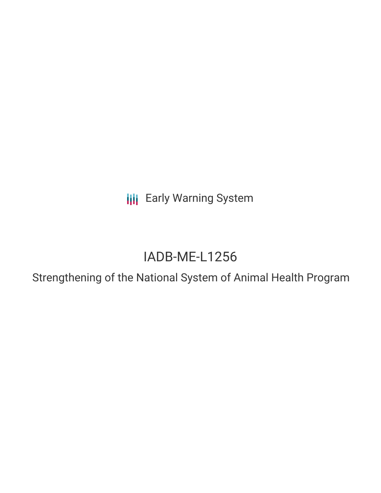**III** Early Warning System

# IADB-ME-L1256

Strengthening of the National System of Animal Health Program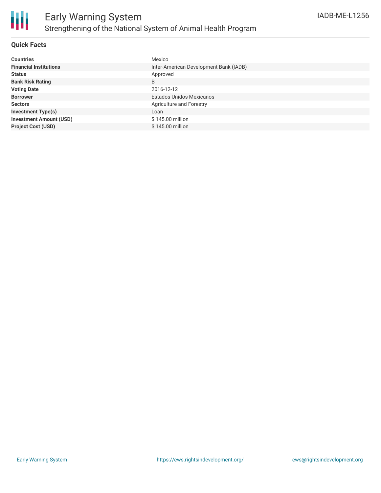

## **Quick Facts**

| <b>Countries</b>               | Mexico                                 |
|--------------------------------|----------------------------------------|
| <b>Financial Institutions</b>  | Inter-American Development Bank (IADB) |
| <b>Status</b>                  | Approved                               |
| <b>Bank Risk Rating</b>        | B                                      |
| <b>Voting Date</b>             | 2016-12-12                             |
| <b>Borrower</b>                | Estados Unidos Mexicanos               |
| <b>Sectors</b>                 | Agriculture and Forestry               |
| <b>Investment Type(s)</b>      | Loan                                   |
| <b>Investment Amount (USD)</b> | \$145.00 million                       |
| <b>Project Cost (USD)</b>      | \$145.00 million                       |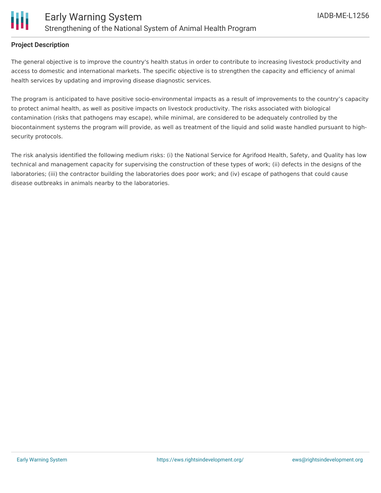

#### **Project Description**

The general objective is to improve the country's health status in order to contribute to increasing livestock productivity and access to domestic and international markets. The specific objective is to strengthen the capacity and efficiency of animal health services by updating and improving disease diagnostic services.

The program is anticipated to have positive socio-environmental impacts as a result of improvements to the country's capacity to protect animal health, as well as positive impacts on livestock productivity. The risks associated with biological contamination (risks that pathogens may escape), while minimal, are considered to be adequately controlled by the biocontainment systems the program will provide, as well as treatment of the liquid and solid waste handled pursuant to highsecurity protocols.

The risk analysis identified the following medium risks: (i) the National Service for Agrifood Health, Safety, and Quality has low technical and management capacity for supervising the construction of these types of work; (ii) defects in the designs of the laboratories; (iii) the contractor building the laboratories does poor work; and (iv) escape of pathogens that could cause disease outbreaks in animals nearby to the laboratories.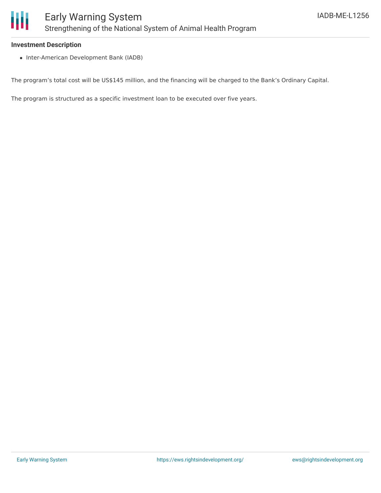

#### **Investment Description**

• Inter-American Development Bank (IADB)

The program's total cost will be US\$145 million, and the financing will be charged to the Bank's Ordinary Capital.

The program is structured as a specific investment loan to be executed over five years.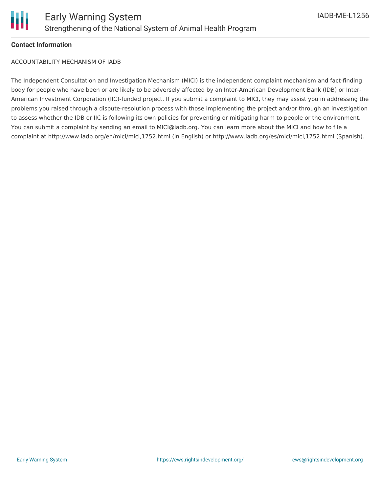

### **Contact Information**

ACCOUNTABILITY MECHANISM OF IADB

The Independent Consultation and Investigation Mechanism (MICI) is the independent complaint mechanism and fact-finding body for people who have been or are likely to be adversely affected by an Inter-American Development Bank (IDB) or Inter-American Investment Corporation (IIC)-funded project. If you submit a complaint to MICI, they may assist you in addressing the problems you raised through a dispute-resolution process with those implementing the project and/or through an investigation to assess whether the IDB or IIC is following its own policies for preventing or mitigating harm to people or the environment. You can submit a complaint by sending an email to MICI@iadb.org. You can learn more about the MICI and how to file a complaint at http://www.iadb.org/en/mici/mici,1752.html (in English) or http://www.iadb.org/es/mici/mici,1752.html (Spanish).